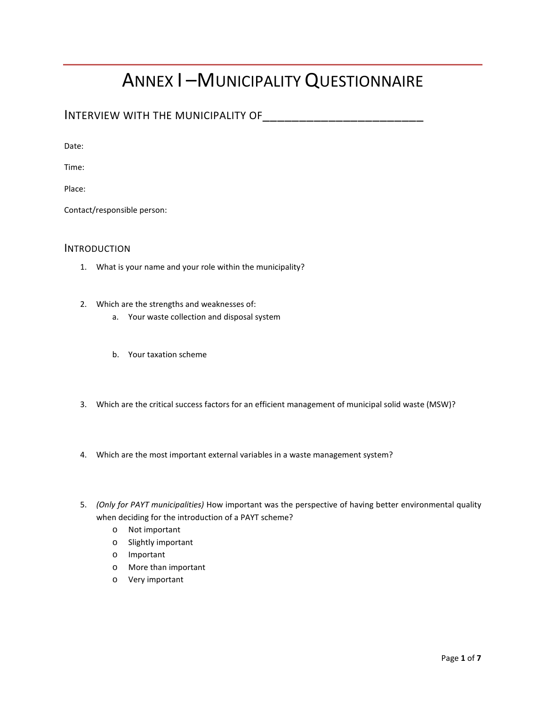# ANNEX I –MUNICIPALITY QUESTIONNAIRE

INTERVIEW WITH THE MUNICIPALITY OF\_\_\_\_\_\_\_\_\_\_\_\_\_\_\_\_\_\_\_\_\_\_

Date:

Time:

Place:

Contact/responsible person:

# INTRODUCTION

- 1. What is your name and your role within the municipality?
- 2. Which are the strengths and weaknesses of:
	- a. Your waste collection and disposal system
	- b. Your taxation scheme
- 3. Which are the critical success factors for an efficient management of municipal solid waste (MSW)?
- 4. Which are the most important external variables in a waste management system?
- 5. *(Only for PAYT municipalities)* How important was the perspective of having better environmental quality when deciding for the introduction of a PAYT scheme?
	- o Not important
	- o Slightly important
	- o Important
	- o More than important
	- o Very important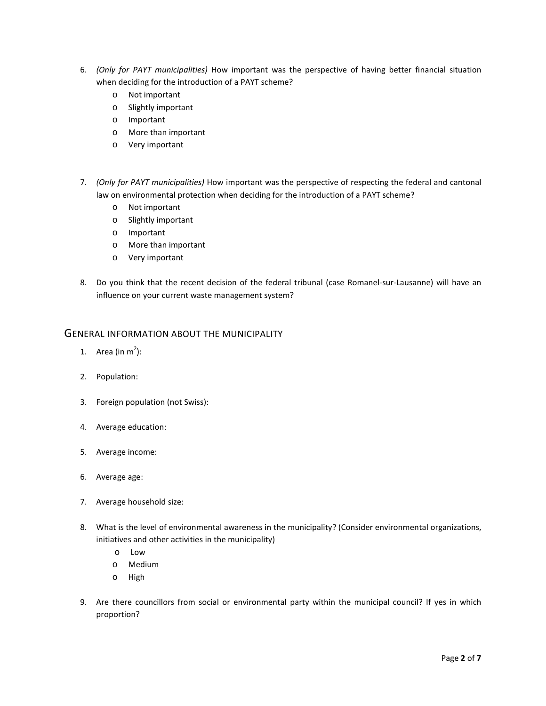- 6. *(Only for PAYT municipalities)* How important was the perspective of having better financial situation when deciding for the introduction of a PAYT scheme?
	- o Not important
	- o Slightly important
	- o Important
	- o More than important
	- o Very important
- 7. *(Only for PAYT municipalities)* How important was the perspective of respecting the federal and cantonal law on environmental protection when deciding for the introduction of a PAYT scheme?
	- o Not important
	- o Slightly important
	- o Important
	- o More than important
	- o Very important
- 8. Do you think that the recent decision of the federal tribunal (case Romanel-sur-Lausanne) will have an influence on your current waste management system?

# GENERAL INFORMATION ABOUT THE MUNICIPALITY

- 1. Area (in  $m^2$ ):
- 2. Population:
- 3. Foreign population (not Swiss):
- 4. Average education:
- 5. Average income:
- 6. Average age:
- 7. Average household size:
- 8. What is the level of environmental awareness in the municipality? (Consider environmental organizations, initiatives and other activities in the municipality)
	- o Low
	- o Medium
	- o High
- 9. Are there councillors from social or environmental party within the municipal council? If yes in which proportion?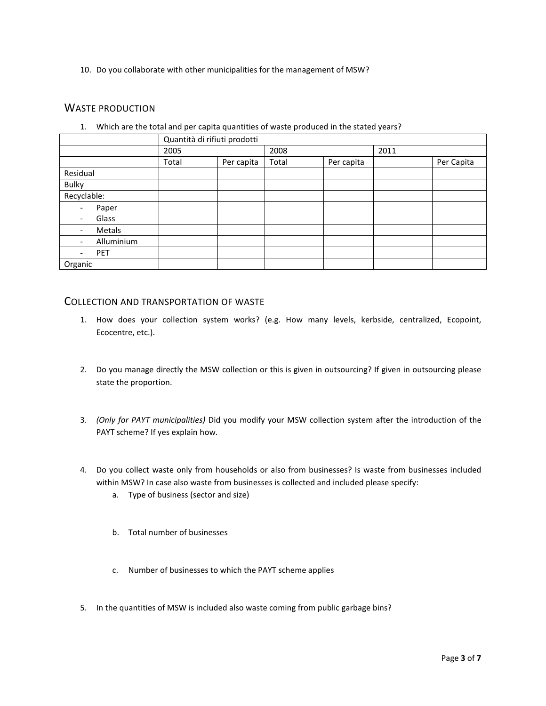10. Do you collaborate with other municipalities for the management of MSW?

# WASTE PRODUCTION

1. Which are the total and per capita quantities of waste produced in the stated years?

|                                        | Quantità di rifiuti prodotti |            |       |            |      |            |
|----------------------------------------|------------------------------|------------|-------|------------|------|------------|
|                                        | 2005                         |            | 2008  |            | 2011 |            |
|                                        | Total                        | Per capita | Total | Per capita |      | Per Capita |
| Residual                               |                              |            |       |            |      |            |
| <b>Bulky</b>                           |                              |            |       |            |      |            |
| Recyclable:                            |                              |            |       |            |      |            |
| Paper<br>$\overline{\phantom{a}}$      |                              |            |       |            |      |            |
| Glass<br>$\overline{\phantom{0}}$      |                              |            |       |            |      |            |
| Metals<br>$\overline{\phantom{0}}$     |                              |            |       |            |      |            |
| Alluminium<br>$\overline{\phantom{0}}$ |                              |            |       |            |      |            |
| <b>PET</b><br>$\overline{\phantom{0}}$ |                              |            |       |            |      |            |
| Organic                                |                              |            |       |            |      |            |

# COLLECTION AND TRANSPORTATION OF WASTE

- 1. How does your collection system works? (e.g. How many levels, kerbside, centralized, Ecopoint, Ecocentre, etc.).
- 2. Do you manage directly the MSW collection or this is given in outsourcing? If given in outsourcing please state the proportion.
- 3. *(Only for PAYT municipalities)* Did you modify your MSW collection system after the introduction of the PAYT scheme? If yes explain how.
- 4. Do you collect waste only from households or also from businesses? Is waste from businesses included within MSW? In case also waste from businesses is collected and included please specify:
	- a. Type of business (sector and size)
	- b. Total number of businesses
	- c. Number of businesses to which the PAYT scheme applies
- 5. In the quantities of MSW is included also waste coming from public garbage bins?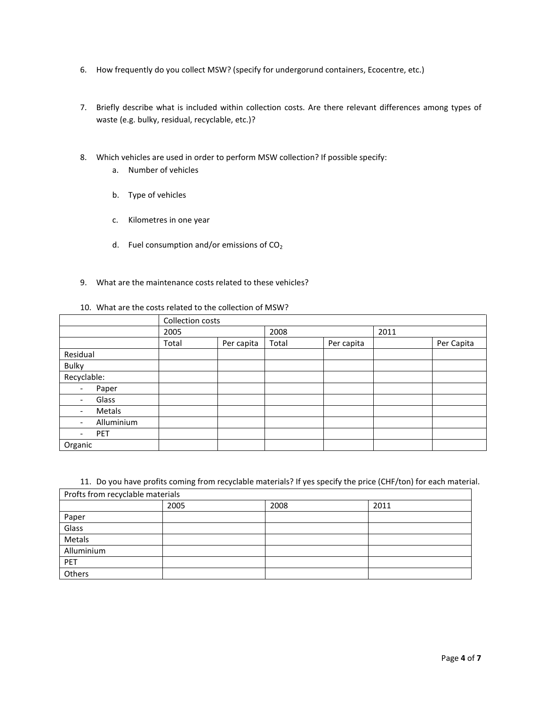- 6. How frequently do you collect MSW? (specify for undergorund containers, Ecocentre, etc.)
- 7. Briefly describe what is included within collection costs. Are there relevant differences among types of waste (e.g. bulky, residual, recyclable, etc.)?
- 8. Which vehicles are used in order to perform MSW collection? If possible specify:
	- a. Number of vehicles
	- b. Type of vehicles
	- c. Kilometres in one year
	- d. Fuel consumption and/or emissions of  $CO<sub>2</sub>$
- 9. What are the maintenance costs related to these vehicles?

#### 10. What are the costs related to the collection of MSW?

|                                        | Collection costs |            |       |            |      |            |
|----------------------------------------|------------------|------------|-------|------------|------|------------|
|                                        | 2005             |            | 2008  |            | 2011 |            |
|                                        | Total            | Per capita | Total | Per capita |      | Per Capita |
| Residual                               |                  |            |       |            |      |            |
| <b>Bulky</b>                           |                  |            |       |            |      |            |
| Recyclable:                            |                  |            |       |            |      |            |
| Paper<br>$\overline{\phantom{a}}$      |                  |            |       |            |      |            |
| Glass<br>$\overline{\phantom{0}}$      |                  |            |       |            |      |            |
| Metals<br>$\overline{\phantom{0}}$     |                  |            |       |            |      |            |
| Alluminium<br>$\overline{\phantom{0}}$ |                  |            |       |            |      |            |
| <b>PET</b><br>$\overline{\phantom{0}}$ |                  |            |       |            |      |            |
| Organic                                |                  |            |       |            |      |            |

11. Do you have profits coming from recyclable materials? If yes specify the price (CHF/ton) for each material.

| Profts from recyclable materials |      |      |      |  |  |
|----------------------------------|------|------|------|--|--|
|                                  | 2005 | 2008 | 2011 |  |  |
| Paper                            |      |      |      |  |  |
| Glass                            |      |      |      |  |  |
| Metals                           |      |      |      |  |  |
| Alluminium                       |      |      |      |  |  |
| PET                              |      |      |      |  |  |
| Others                           |      |      |      |  |  |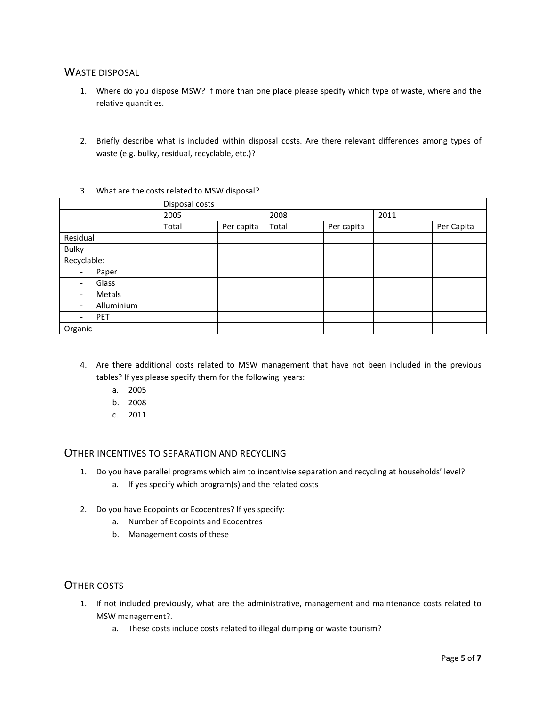# WASTE DISPOSAL

- 1. Where do you dispose MSW? If more than one place please specify which type of waste, where and the relative quantities.
- 2. Briefly describe what is included within disposal costs. Are there relevant differences among types of waste (e.g. bulky, residual, recyclable, etc.)?

|                                    | Disposal costs |            |       |            |      |            |
|------------------------------------|----------------|------------|-------|------------|------|------------|
|                                    | 2005           |            | 2008  |            | 2011 |            |
|                                    | Total          | Per capita | Total | Per capita |      | Per Capita |
| Residual                           |                |            |       |            |      |            |
| <b>Bulky</b>                       |                |            |       |            |      |            |
| Recyclable:                        |                |            |       |            |      |            |
| Paper<br>$\overline{\phantom{a}}$  |                |            |       |            |      |            |
| Glass<br>-                         |                |            |       |            |      |            |
| Metals<br>$\overline{\phantom{0}}$ |                |            |       |            |      |            |
| Alluminium<br>-                    |                |            |       |            |      |            |
| PET<br>-                           |                |            |       |            |      |            |
| Organic                            |                |            |       |            |      |            |

3. What are the costs related to MSW disposal?

- 4. Are there additional costs related to MSW management that have not been included in the previous tables? If yes please specify them for the following years:
	- a. 2005
	- b. 2008
	- c. 2011

# OTHER INCENTIVES TO SEPARATION AND RECYCLING

- 1. Do you have parallel programs which aim to incentivise separation and recycling at households' level?
	- a. If yes specify which program(s) and the related costs
- 2. Do you have Ecopoints or Ecocentres? If yes specify:
	- a. Number of Ecopoints and Ecocentres
	- b. Management costs of these

# OTHER COSTS

- 1. If not included previously, what are the administrative, management and maintenance costs related to MSW management?.
	- a. These costs include costs related to illegal dumping or waste tourism?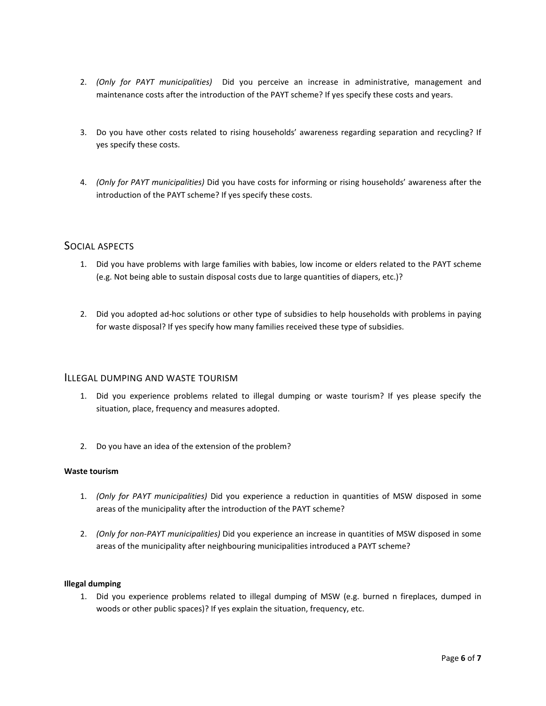- 2. *(Only for PAYT municipalities)* Did you perceive an increase in administrative, management and maintenance costs after the introduction of the PAYT scheme? If yes specify these costs and years.
- 3. Do you have other costs related to rising households' awareness regarding separation and recycling? If yes specify these costs.
- 4. *(Only for PAYT municipalities)* Did you have costs for informing or rising households' awareness after the introduction of the PAYT scheme? If yes specify these costs.

# SOCIAL ASPECTS

- 1. Did you have problems with large families with babies, low income or elders related to the PAYT scheme (e.g. Not being able to sustain disposal costs due to large quantities of diapers, etc.)?
- 2. Did you adopted ad-hoc solutions or other type of subsidies to help households with problems in paying for waste disposal? If yes specify how many families received these type of subsidies.

#### ILLEGAL DUMPING AND WASTE TOURISM

- 1. Did you experience problems related to illegal dumping or waste tourism? If yes please specify the situation, place, frequency and measures adopted.
- 2. Do you have an idea of the extension of the problem?

#### **Waste tourism**

- 1. *(Only for PAYT municipalities)* Did you experience a reduction in quantities of MSW disposed in some areas of the municipality after the introduction of the PAYT scheme?
- 2. *(Only for non-PAYT municipalities)* Did you experience an increase in quantities of MSW disposed in some areas of the municipality after neighbouring municipalities introduced a PAYT scheme?

#### **Illegal dumping**

1. Did you experience problems related to illegal dumping of MSW (e.g. burned n fireplaces, dumped in woods or other public spaces)? If yes explain the situation, frequency, etc.